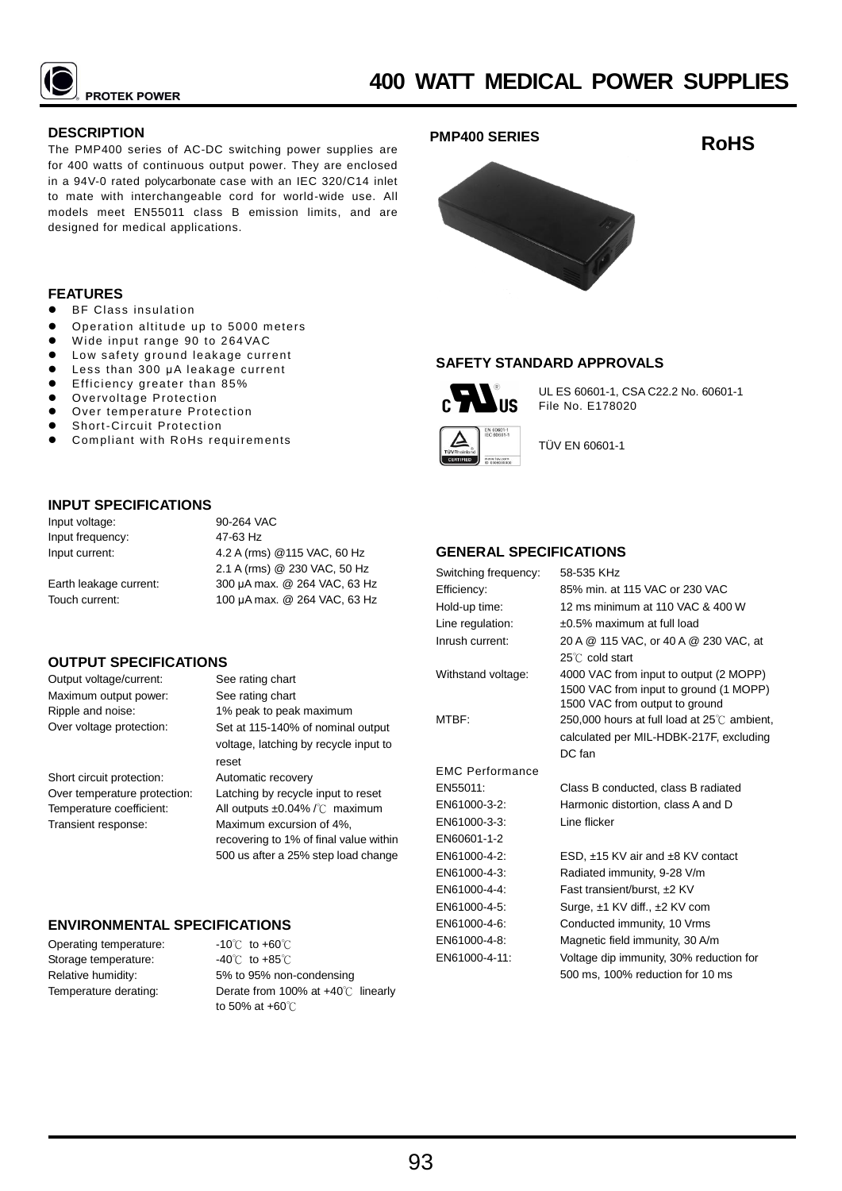

## **DESCRIPTION**

The PMP400 series of AC-DC switching power supplies are for 400 watts of continuous output power. They are enclosed in a 94V-0 rated polycarbonate case with an IEC 320/C14 inlet to mate with interchangeable cord for world-wide use. All models meet EN55011 class B emission limits, and are designed for medical applications.

#### **FEATURES**

- ⚫ BF Class insulation
- ⚫ Operation altitude up to 5000 meters
- Wide input range 90 to 264VAC
- Low safety ground leakage current
- ⚫ Less than 300 μA leakage current
- ⚫ Efficiency greater than 85%
- Overvoltage Protection
- Over temperature Protection
- Short-Circuit Protection
- ⚫ Compliant with RoHs requirements

# **INPUT SPECIFICATIONS**

Input voltage: Input frequency: Input current:

Earth leakage current: Touch current:

90-264 VAC 47-63 Hz 4.2 A (rms) @115 VAC, 60 Hz 2.1 A (rms) @ 230 VAC, 50 Hz 300 μA max. @ 264 VAC, 63 Hz 100 μA max. @ 264 VAC, 63 Hz

# **OUTPUT SPECIFICATIONS**

Output voltage/current: See rating chart Maximum output power: See rating chart

Short circuit protection: Automatic recovery Transient response: Maximum excursion of 4%,

# Ripple and noise: 1% peak to peak maximum Over voltage protection: Set at 115-140% of nominal output voltage, latching by recycle input to reset

Over temperature protection: Latching by recycle input to reset Temperature coefficient: All outputs ±0.04% /℃ maximum recovering to 1% of final value within 500 us after a 25% step load change

# **ENVIRONMENTAL SPECIFICATIONS**

Operating temperature: Storage temperature: Relative humidity: Temperature derating:

-10℃ to +60℃ -40℃ to +85℃ 5% to 95% non-condensing Derate from 100% at +40℃ linearly to 50% at +60℃







# **SAFETY STANDARD APPROVALS**



UL ES 60601-1, CSA C22.2 No. 60601-1 File No. E178020



TÜV EN 60601-1

# **GENERAL SPECIFICATIONS**

| Switching frequency:   | 58-535 KHz                                                                                                         |
|------------------------|--------------------------------------------------------------------------------------------------------------------|
| Efficiency:            | 85% min. at 115 VAC or 230 VAC                                                                                     |
| Hold-up time:          | 12 ms minimum at 110 VAC & 400 W                                                                                   |
| Line regulation:       | ±0.5% maximum at full load                                                                                         |
| Inrush current:        | 20 A @ 115 VAC, or 40 A @ 230 VAC, at                                                                              |
|                        | $25^{\circ}$ C cold start                                                                                          |
| Withstand voltage:     | 4000 VAC from input to output (2 MOPP)<br>1500 VAC from input to ground (1 MOPP)<br>1500 VAC from output to ground |
| MTBF:                  | 250,000 hours at full load at $25^{\circ}$ C ambient,                                                              |
|                        | calculated per MIL-HDBK-217F, excluding                                                                            |
|                        | DC fan                                                                                                             |
| <b>FMC Performance</b> |                                                                                                                    |
| EN55011:               | Class B conducted, class B radiated                                                                                |
| EN61000-3-2:           | Harmonic distortion, class A and D                                                                                 |
| EN61000-3-3:           | Line flicker                                                                                                       |
| EN60601-1-2            |                                                                                                                    |
| EN61000-4-2:           | ESD, ±15 KV air and ±8 KV contact                                                                                  |
| EN61000-4-3:           | Radiated immunity, 9-28 V/m                                                                                        |
| EN61000-4-4:           | Fast transient/burst, ±2 KV                                                                                        |
| EN61000-4-5:           | Surge, ±1 KV diff., ±2 KV com                                                                                      |
| EN61000-4-6:           | Conducted immunity, 10 Vrms                                                                                        |
| EN61000-4-8:           | Magnetic field immunity, 30 A/m                                                                                    |
| EN61000-4-11:          | Voltage dip immunity, 30% reduction for                                                                            |
|                        | 500 ms, 100% reduction for 10 ms                                                                                   |